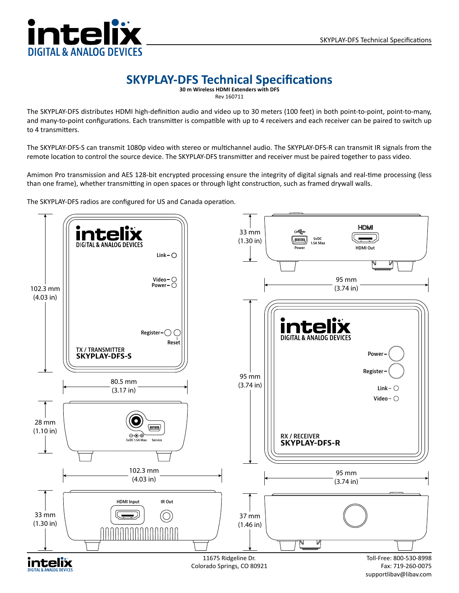## ntel **DIGITAL & ANALOG DEVICES**

## **SKYPLAY-DFS Technical Specifications**

Rev 160711

The SKYPLAY-DFS distributes HDMI high-definition audio and video up to 30 meters (100 feet) in both point-to-point, point-to-many, and many-to-point configurations. Each transmitter is compatible with up to 4 receivers and each receiver can be paired to switch up to 4 transmitters.

The SKYPLAY-DFS-S can transmit 1080p video with stereo or multichannel audio. The SKYPLAY-DFS-R can transmit IR signals from the remote location to control the source device. The SKYPLAY-DFS transmitter and receiver must be paired together to pass video.

Amimon Pro transmission and AES 128-bit encrypted processing ensure the integrity of digital signals and real-time processing (less than one frame), whether transmitting in open spaces or through light construction, such as framed drywall walls.

The SKYPLAY-DFS radios are configured for US and Canada operation.



supportlibav@libav.com